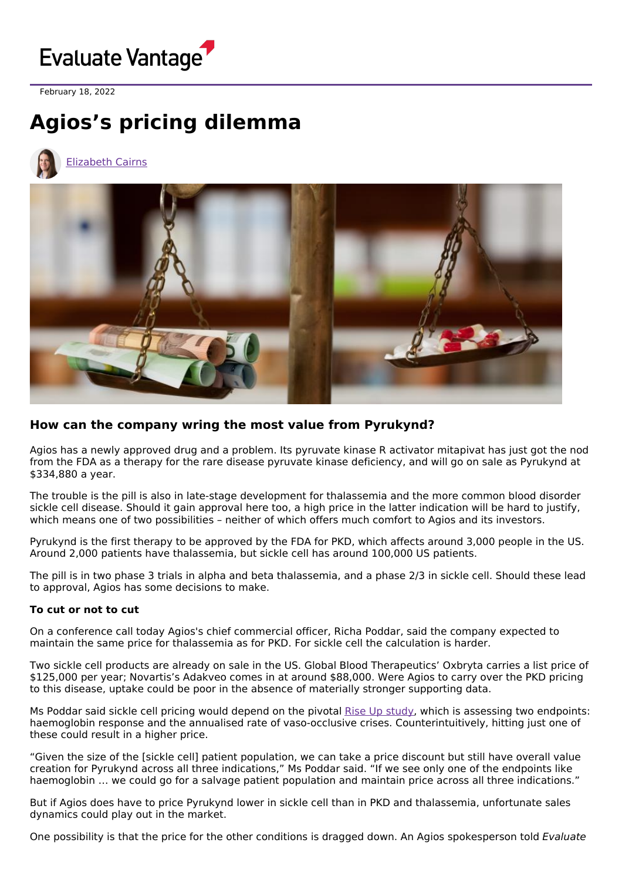

February 18, 2022

## **Agios's pricing dilemma**



[Elizabeth](https://www.evaluate.com/vantage/editorial-team/elizabeth-cairns) Cairns



## **How can the company wring the most value from Pyrukynd?**

Agios has a newly approved drug and a problem. Its pyruvate kinase R activator mitapivat has just got the nod from the FDA as a therapy for the rare disease pyruvate kinase deficiency, and will go on sale as Pyrukynd at \$334,880 a year.

The trouble is the pill is also in late-stage development for thalassemia and the more common blood disorder sickle cell disease. Should it gain approval here too, a high price in the latter indication will be hard to justify, which means one of two possibilities - neither of which offers much comfort to Agios and its investors.

Pyrukynd is the first therapy to be approved by the FDA for PKD, which affects around 3,000 people in the US. Around 2,000 patients have thalassemia, but sickle cell has around 100,000 US patients.

The pill is in two phase 3 trials in alpha and beta thalassemia, and a phase 2/3 in sickle cell. Should these lead to approval, Agios has some decisions to make.

## **To cut or not to cut**

On a conference call today Agios's chief commercial officer, Richa Poddar, said the company expected to maintain the same price for thalassemia as for PKD. For sickle cell the calculation is harder.

Two sickle cell products are already on sale in the US. Global Blood Therapeutics' Oxbryta carries a list price of \$125,000 per year; Novartis's Adakveo comes in at around \$88,000. Were Agios to carry over the PKD pricing to this disease, uptake could be poor in the absence of materially stronger supporting data.

Ms Poddar said sickle cell pricing would depend on the pivotal Rise Up [study](https://clinicaltrials.gov/ct2/show/NCT05031780), which is assessing two endpoints: haemoglobin response and the annualised rate of vaso-occlusive crises. Counterintuitively, hitting just one of these could result in a higher price.

"Given the size of the [sickle cell] patient population, we can take a price discount but still have overall value creation for Pyrukynd across all three indications," Ms Poddar said. "If we see only one of the endpoints like haemoglobin … we could go for a salvage patient population and maintain price across all three indications."

But if Agios does have to price Pyrukynd lower in sickle cell than in PKD and thalassemia, unfortunate sales dynamics could play out in the market.

One possibility is that the price for the other conditions is dragged down. An Agios spokesperson told Evaluate